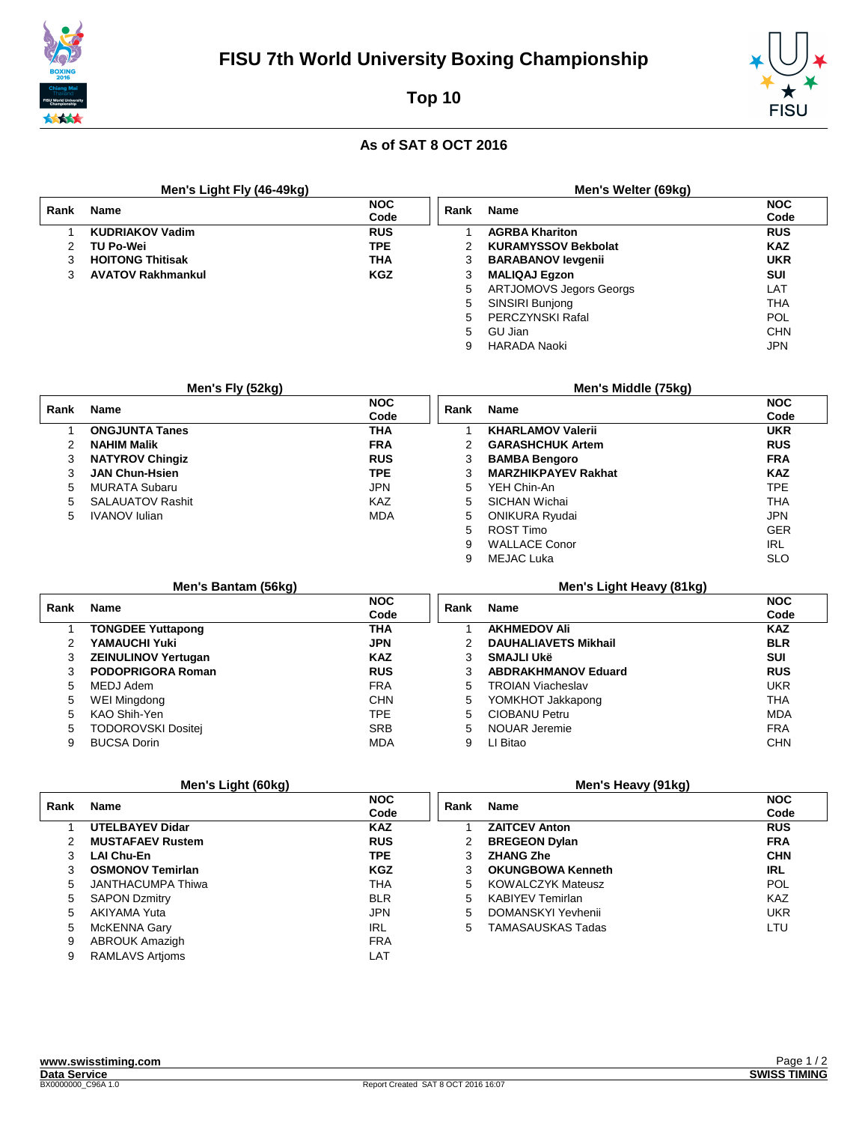

# Top 10



### As of SAT 8 OCT 2016

|      | Men's Light Fly (46-49kg) |                    |      | Men's Welter (69kg)            |                    |
|------|---------------------------|--------------------|------|--------------------------------|--------------------|
| Rank | <b>Name</b>               | <b>NOC</b><br>Code | Rank | <b>Name</b>                    | <b>NOC</b><br>Code |
|      | <b>KUDRIAKOV Vadim</b>    | <b>RUS</b>         |      | <b>AGRBA Khariton</b>          | <b>RUS</b>         |
| 2    | TU Po-Wei                 | <b>TPE</b>         | 2    | <b>KURAMYSSOV Bekbolat</b>     | <b>KAZ</b>         |
| 3    | <b>HOITONG Thitisak</b>   | <b>THA</b>         | 3    | <b>BARABANOV levgenii</b>      | <b>UKR</b>         |
|      | <b>AVATOV Rakhmankul</b>  | <b>KGZ</b>         | 3    | <b>MALIQAJ Egzon</b>           | <b>SUI</b>         |
|      |                           |                    | 5    | <b>ARTJOMOVS Jegors Georgs</b> | LAT                |
|      |                           |                    | 5    | SINSIRI Bunjong                | THA                |
|      |                           |                    | 5.   | <b>PERCZYNSKI Rafal</b>        | POL                |
|      |                           |                    | 5    | GU Jian                        | <b>CHN</b>         |
|      |                           |                    | 9    | HARADA Naoki                   | <b>JPN</b>         |

|      | Men's Fly (52kg)        |                    |      | Men's Middle (75kg)        |                    |
|------|-------------------------|--------------------|------|----------------------------|--------------------|
| Rank | <b>Name</b>             | <b>NOC</b><br>Code | Rank | <b>Name</b>                | <b>NOC</b><br>Code |
|      | <b>ONGJUNTA Tanes</b>   | <b>THA</b>         |      | <b>KHARLAMOV Valerii</b>   | <b>UKR</b>         |
|      | <b>NAHIM Malik</b>      | <b>FRA</b>         | 2    | <b>GARASHCHUK Artem</b>    | <b>RUS</b>         |
| 3    | <b>NATYROV Chingiz</b>  | <b>RUS</b>         | 3    | <b>BAMBA Bengoro</b>       | <b>FRA</b>         |
| 3    | <b>JAN Chun-Hsien</b>   | <b>TPE</b>         |      | <b>MARZHIKPAYEV Rakhat</b> | <b>KAZ</b>         |
| 5.   | <b>MURATA Subaru</b>    | <b>JPN</b>         | 5    | YEH Chin-An                | <b>TPE</b>         |
| 5.   | <b>SALAUATOV Rashit</b> | <b>KAZ</b>         | 5    | SICHAN Wichai              | <b>THA</b>         |
| 5    | <b>IVANOV</b> Iulian    | <b>MDA</b>         | 5    | <b>ONIKURA Ryudai</b>      | <b>JPN</b>         |
|      |                         |                    | 5.   | ROST Timo                  | <b>GER</b>         |
|      |                         |                    | 9    | <b>WALLACE Conor</b>       | <b>IRL</b>         |
|      |                         |                    |      | <b>MEJAC Luka</b>          | <b>SLO</b>         |

|      | Men's Bantam (56kg)        |                    |      | Men's Light Heavy (81kg)    |                    |
|------|----------------------------|--------------------|------|-----------------------------|--------------------|
| Rank | <b>Name</b>                | <b>NOC</b><br>Code | Rank | <b>Name</b>                 | <b>NOC</b><br>Code |
|      | <b>TONGDEE Yuttapong</b>   | THA                |      | <b>AKHMEDOV Ali</b>         | <b>KAZ</b>         |
|      | YAMAUCHI Yuki              | <b>JPN</b>         |      | <b>DAUHALIAVETS Mikhail</b> | <b>BLR</b>         |
|      | <b>ZEINULINOV Yertugan</b> | <b>KAZ</b>         |      | <b>SMAJLI Ukë</b>           | <b>SUI</b>         |
|      | PODOPRIGORA Roman          | <b>RUS</b>         |      | <b>ABDRAKHMANOV Eduard</b>  | <b>RUS</b>         |
| 5.   | MEDJ Adem                  | <b>FRA</b>         | 5.   | <b>TROIAN Viacheslav</b>    | <b>UKR</b>         |
| 5    | WEI Mingdong               | <b>CHN</b>         | 5    | YOMKHOT Jakkapong           | <b>THA</b>         |
| 5    | KAO Shih-Yen               | <b>TPE</b>         | 5.   | <b>CIOBANU Petru</b>        | <b>MDA</b>         |
| 5.   | <b>TODOROVSKI Dositei</b>  | <b>SRB</b>         | 5.   | NOUAR Jeremie               | <b>FRA</b>         |
| 9    | <b>BUCSA Dorin</b>         | <b>MDA</b>         | 9    | LI Bitao                    | <b>CHN</b>         |

#### Men's Light (60kg)

#### Men's Heavy (91kg)

| Rank          | <b>Name</b>              | <b>NOC</b><br>Code | Rank | <b>Name</b>              | <b>NOC</b><br>Code |
|---------------|--------------------------|--------------------|------|--------------------------|--------------------|
|               | <b>UTELBAYEV Didar</b>   | <b>KAZ</b>         |      | <b>ZAITCEV Anton</b>     | <b>RUS</b>         |
| $\mathcal{P}$ | <b>MUSTAFAEV Rustem</b>  | <b>RUS</b>         |      | <b>BREGEON Dylan</b>     | <b>FRA</b>         |
| 3             | <b>LAI Chu-En</b>        | TPE.               | 3    | <b>ZHANG Zhe</b>         | <b>CHN</b>         |
|               | <b>OSMONOV Temirlan</b>  | <b>KGZ</b>         |      | <b>OKUNGBOWA Kenneth</b> | <b>IRL</b>         |
| 5.            | <b>JANTHACUMPA Thiwa</b> | THA                | 5    | <b>KOWALCZYK Mateusz</b> | <b>POL</b>         |
| 5             | <b>SAPON Dzmitry</b>     | <b>BLR</b>         | 5    | <b>KABIYEV Temirlan</b>  | <b>KAZ</b>         |
| 5.            | AKIYAMA Yuta             | <b>JPN</b>         | 5    | DOMANSKYI Yevhenii       | UKR                |
| 5             | McKENNA Gary             | <b>IRL</b>         | 5    | <b>TAMASAUSKAS Tadas</b> | LTU                |
| 9             | <b>ABROUK Amazigh</b>    | <b>FRA</b>         |      |                          |                    |
| 9             | <b>RAMLAVS Artioms</b>   | LAT                |      |                          |                    |